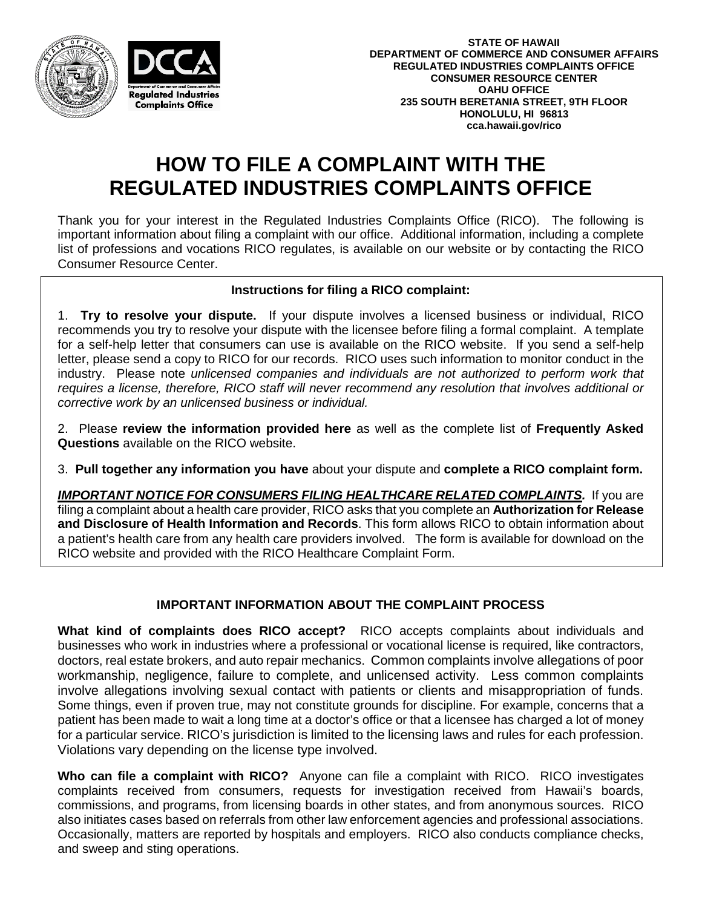



## **HOW TO FILE A COMPLAINT WITH THE REGULATED INDUSTRIES COMPLAINTS OFFICE**

Thank you for your interest in the Regulated Industries Complaints Office (RICO). The following is important information about filing a complaint with our office. Additional information, including a complete list of professions and vocations RICO regulates, is available on our website or by contacting the RICO Consumer Resource Center.

## **Instructions for filing a RICO complaint:**

1. **Try to resolve your dispute.** If your dispute involves a licensed business or individual, RICO recommends you try to resolve your dispute with the licensee before filing a formal complaint. A template for a self-help letter that consumers can use is available on the RICO website. If you send a self-help letter, please send a copy to RICO for our records. RICO uses such information to monitor conduct in the industry. Please note *unlicensed companies and individuals are not authorized to perform work that requires a license, therefore, RICO staff will never recommend any resolution that involves additional or corrective work by an unlicensed business or individual.* 

2. Please **review the information provided here** as well as the complete list of **Frequently Asked Questions** available on the RICO website.

3. **Pull together any information you have** about your dispute and **complete a RICO complaint form.** 

*IMPORTANT NOTICE FOR CONSUMERS FILING HEALTHCARE RELATED COMPLAINTS.* If you are filing a complaint about a health care provider, RICO asks that you complete an **Authorization for Release and Disclosure of Health Information and Records**. This form allows RICO to obtain information about a patient's health care from any health care providers involved. The form is available for download on the RICO website and provided with the RICO Healthcare Complaint Form.

## **IMPORTANT INFORMATION ABOUT THE COMPLAINT PROCESS**

**What kind of complaints does RICO accept?** RICO accepts complaints about individuals and businesses who work in industries where a professional or vocational license is required, like contractors, doctors, real estate brokers, and auto repair mechanics. Common complaints involve allegations of poor workmanship, negligence, failure to complete, and unlicensed activity. Less common complaints involve allegations involving sexual contact with patients or clients and misappropriation of funds. Some things, even if proven true, may not constitute grounds for discipline. For example, concerns that a patient has been made to wait a long time at a doctor's office or that a licensee has charged a lot of money for a particular service. RICO's jurisdiction is limited to the licensing laws and rules for each profession. Violations vary depending on the license type involved.

**Who can file a complaint with RICO?** Anyone can file a complaint with RICO. RICO investigates complaints received from consumers, requests for investigation received from Hawaii's boards, commissions, and programs, from licensing boards in other states, and from anonymous sources. RICO also initiates cases based on referrals from other law enforcement agencies and professional associations. Occasionally, matters are reported by hospitals and employers. RICO also conducts compliance checks, and sweep and sting operations.